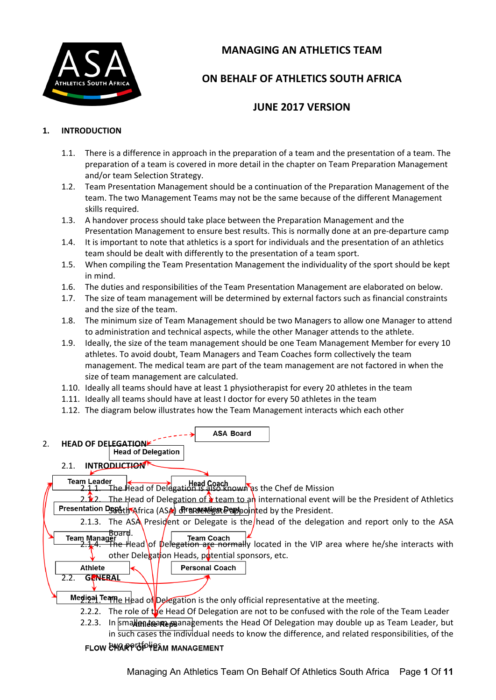

# **MANAGING AN ATHLETICS TEAM**

# **ON BEHALF OF ATHLETICS SOUTH AFRICA**

## **JUNE 2017 VERSION**

#### **1. INTRODUCTION**

- 1.1. There is a difference in approach in the preparation of a team and the presentation of a team. The preparation of a team is covered in more detail in the chapter on Team Preparation Management and/or team Selection Strategy.
- 1.2. Team Presentation Management should be a continuation of the Preparation Management of the team. The two Management Teams may not be the same because of the different Management skills required.
- 1.3. A handover process should take place between the Preparation Management and the Presentation Management to ensure best results. This is normally done at an pre-departure camp
- 1.4. It is important to note that athletics is a sport for individuals and the presentation of an athletics team should be dealt with differently to the presentation of a team sport.
- 1.5. When compiling the Team Presentation Management the individuality of the sport should be kept in mind.
- 1.6. The duties and responsibilities of the Team Presentation Management are elaborated on below.
- 1.7. The size of team management will be determined by external factors such as financial constraints and the size of the team.
- 1.8. The minimum size of Team Management should be two Managers to allow one Manager to attend to administration and technical aspects, while the other Manager attends to the athlete.
- 1.9. Ideally, the size of the team management should be one Team Management Member for every 10 athletes. To avoid doubt, Team Managers and Team Coaches form collectively the team management. The medical team are part of the team management are not factored in when the size of team management are calculated.
- 1.10. Ideally all teams should have at least 1 physiotherapist for every 20 athletes in the team
- 1.11. Ideally all teams should have at least I doctor for every 50 athletes in the team
- 1.12. The diagram below illustrates how the Team Management interacts which each other

**ASA Board** 

# 2. **HEAD OF DELEGATIONE**<br>Head of Delegation

#### 2.1. **INTRODUCTION**

**Team Leader**  $\begin{array}{ll}\n\mathbf{m} \ \mathbf{L} \end{array}$  **Example 2.1.1.** Head Coach **and The Chef de Mission** 

The Head of Delegation of  $\lambda$  team to an international event will be the President of Athletics Presentation Dept th Africa (ASA) or a departign Dappointed by the President.

2.1.3. The ASA President or Delegate is the head of the delegation and report only to the ASA Team Manager ard. **Team Coach** 

2.1.<sup>4. Th</sup>e Head of Delegation are normally located in the VIP area where he/she interacts with other Delegation Heads, potential sponsors, etc.

2.2. **GENERAL**

 $\frac{2.2111}{2}$  Teame Head of Delegation is the only official representative at the meeting.

- 2.2.2. The role of the Head Of Delegation are not to be confused with the role of the Team Leader
- 2.2.3. In smallend reader beam assements the Head Of Delegation may double up as Team Leader, but in such cases the individual needs to know the difference, and related responsibilities, of the

#### **FLOW CHARPIOD HEAM MANAGEMENT**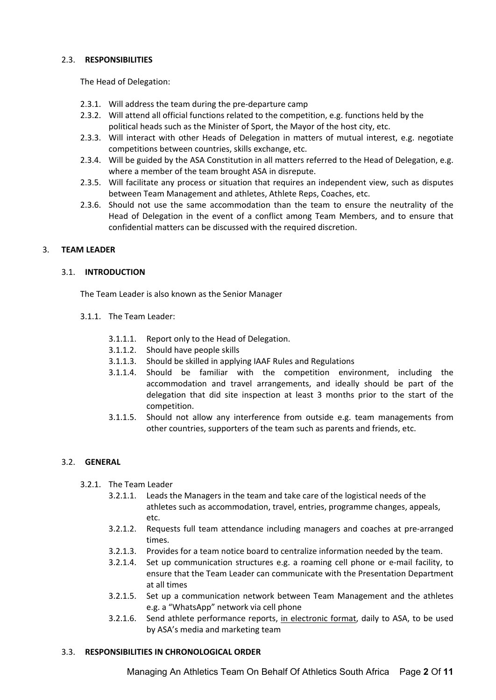#### 2.3. **RESPONSIBILITIES**

The Head of Delegation:

- 2.3.1. Will address the team during the pre-departure camp
- 2.3.2. Will attend all official functions related to the competition, e.g. functions held by the political heads such as the Minister of Sport, the Mayor of the host city, etc.
- 2.3.3. Will interact with other Heads of Delegation in matters of mutual interest, e.g. negotiate competitions between countries, skills exchange, etc.
- 2.3.4. Will be guided by the ASA Constitution in all matters referred to the Head of Delegation, e.g. where a member of the team brought ASA in disrepute.
- 2.3.5. Will facilitate any process or situation that requires an independent view, such as disputes between Team Management and athletes, Athlete Reps, Coaches, etc.
- 2.3.6. Should not use the same accommodation than the team to ensure the neutrality of the Head of Delegation in the event of a conflict among Team Members, and to ensure that confidential matters can be discussed with the required discretion.

#### 3. **TEAM LEADER**

#### 3.1. **INTRODUCTION**

The Team Leader is also known as the Senior Manager

- 3.1.1. The Team Leader:
	- 3.1.1.1. Report only to the Head of Delegation.
	- 3.1.1.2. Should have people skills
	- 3.1.1.3. Should be skilled in applying IAAF Rules and Regulations
	- 3.1.1.4. Should be familiar with the competition environment, including the accommodation and travel arrangements, and ideally should be part of the delegation that did site inspection at least 3 months prior to the start of the competition.
	- 3.1.1.5. Should not allow any interference from outside e.g. team managements from other countries, supporters of the team such as parents and friends, etc.

#### 3.2. **GENERAL**

- 3.2.1. The Team Leader
	- 3.2.1.1. Leads the Managers in the team and take care of the logistical needs of the athletes such as accommodation, travel, entries, programme changes, appeals, etc.
	- 3.2.1.2. Requests full team attendance including managers and coaches at pre-arranged times.
	- 3.2.1.3. Provides for a team notice board to centralize information needed by the team.
	- 3.2.1.4. Set up communication structures e.g. a roaming cell phone or e-mail facility, to ensure that the Team Leader can communicate with the Presentation Department at all times
	- 3.2.1.5. Set up a communication network between Team Management and the athletes e.g. a "WhatsApp" network via cell phone
	- 3.2.1.6. Send athlete performance reports, in electronic format, daily to ASA, to be used by ASA's media and marketing team

#### 3.3. **RESPONSIBILITIES IN CHRONOLOGICAL ORDER**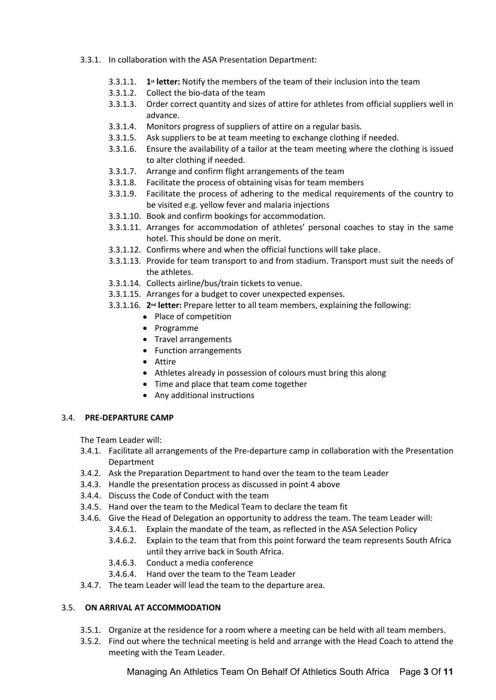- 3.3.1. In collaboration with the ASA Presentation Department:
	- 3.3.1.1. **1st letter:** Notify the members of the team of their inclusion into the team
	- 3.3.1.2. Collect the bio-data of the team
	- 3.3.1.3. Order correct quantity and sizes of attire for athletes from official suppliers well in advance.
	- 3.3.1.4. Monitors progress of suppliers of attire on a regular basis.
	- 3.3.1.5. Ask suppliers to be at team meeting to exchange clothing if needed.
	- 3.3.1.6. Ensure the availability of a tailor at the team meeting where the clothing is issued to alter clothing if needed.
	- 3.3.1.7. Arrange and confirm flight arrangements of the team
	- 3.3.1.8. Facilitate the process of obtaining visas for team members
	- 3.3.1.9. Facilitate the process of adhering to the medical requirements of the country to be visited e.g. yellow fever and malaria injections
	- 3.3.1.10. Book and confirm bookings for accommodation.
	- 3.3.1.11. Arranges for accommodation of athletes' personal coaches to stay in the same hotel. This should be done on merit.
	- 3.3.1.12. Confirms where and when the official functions will take place.
	- 3.3.1.13. Provide for team transport to and from stadium. Transport must suit the needs of the athletes.
	- 3.3.1.14. Collects airline/bus/train tickets to venue.
	- 3.3.1.15. Arranges for a budget to cover unexpected expenses.
	- 3.3.1.16. **2nd letter:** Prepare letter to all team members, explaining the following:
		- Place of competition
		- Programme
		- Travel arrangements
		- Function arrangements
		- Attire
		- Athletes already in possession of colours must bring this along
		- Time and place that team come together
		- Any additional instructions

#### 3.4. **PRE-DEPARTURE CAMP**

The Team Leader will:

- 3.4.1. Facilitate all arrangements of the Pre-departure camp in collaboration with the Presentation Department
- 3.4.2. Ask the Preparation Department to hand over the team to the team Leader
- 3.4.3. Handle the presentation process as discussed in point 4 above
- 3.4.4. Discuss the Code of Conduct with the team
- 3.4.5. Hand over the team to the Medical Team to declare the team fit
- 3.4.6. Give the Head of Delegation an opportunity to address the team. The team Leader will:
	- 3.4.6.1. Explain the mandate of the team, as reflected in the ASA Selection Policy
	- 3.4.6.2. Explain to the team that from this point forward the team represents South Africa until they arrive back in South Africa.
	- 3.4.6.3. Conduct a media conference
	- 3.4.6.4. Hand over the team to the Team Leader
- 3.4.7. The team Leader will lead the team to the departure area.

#### 3.5. **ON ARRIVAL AT ACCOMMODATION**

- 3.5.1. Organize at the residence for a room where a meeting can be held with all team members.
- 3.5.2. Find out where the technical meeting is held and arrange with the Head Coach to attend the meeting with the Team Leader.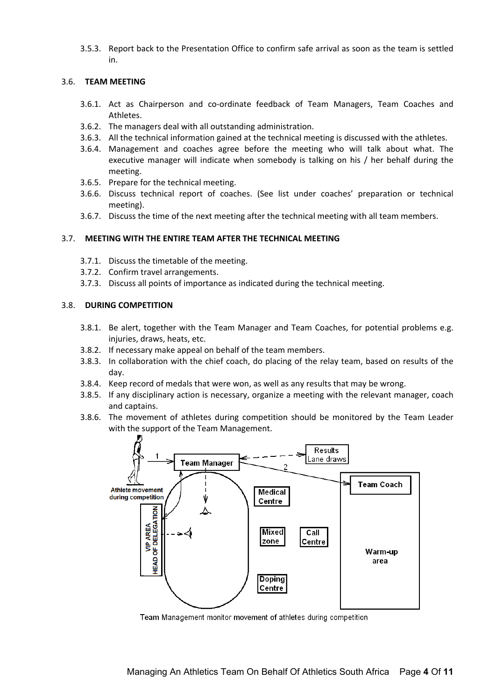3.5.3. Report back to the Presentation Office to confirm safe arrival as soon as the team is settled in.

#### 3.6. **TEAM MEETING**

- 3.6.1. Act as Chairperson and co-ordinate feedback of Team Managers, Team Coaches and Athletes.
- 3.6.2. The managers deal with all outstanding administration.
- 3.6.3. All the technical information gained at the technical meeting is discussed with the athletes.
- 3.6.4. Management and coaches agree before the meeting who will talk about what. The executive manager will indicate when somebody is talking on his / her behalf during the meeting.
- 3.6.5. Prepare for the technical meeting.
- 3.6.6. Discuss technical report of coaches. (See list under coaches' preparation or technical meeting).
- 3.6.7. Discuss the time of the next meeting after the technical meeting with all team members.

#### 3.7. **MEETING WITH THE ENTIRE TEAM AFTER THE TECHNICAL MEETING**

- 3.7.1. Discuss the timetable of the meeting.
- 3.7.2. Confirm travel arrangements.
- 3.7.3. Discuss all points of importance as indicated during the technical meeting.

#### 3.8. **DURING COMPETITION**

- 3.8.1. Be alert, together with the Team Manager and Team Coaches, for potential problems e.g. injuries, draws, heats, etc.
- 3.8.2. If necessary make appeal on behalf of the team members.
- 3.8.3. In collaboration with the chief coach, do placing of the relay team, based on results of the day.
- 3.8.4. Keep record of medals that were won, as well as any results that may be wrong.
- 3.8.5. If any disciplinary action is necessary, organize a meeting with the relevant manager, coach and captains.
- 3.8.6. The movement of athletes during competition should be monitored by the Team Leader with the support of the Team Management.



Team Management monitor movement of athletes during competition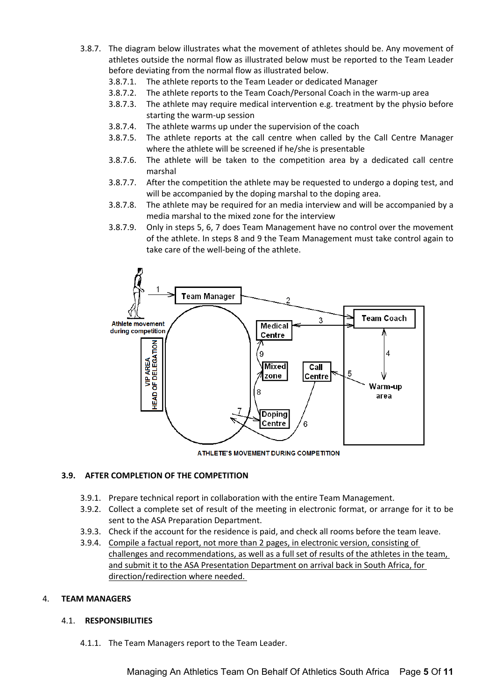- 3.8.7. The diagram below illustrates what the movement of athletes should be. Any movement of athletes outside the normal flow as illustrated below must be reported to the Team Leader before deviating from the normal flow as illustrated below.
	- 3.8.7.1. The athlete reports to the Team Leader or dedicated Manager
	- 3.8.7.2. The athlete reports to the Team Coach/Personal Coach in the warm-up area
	- 3.8.7.3. The athlete may require medical intervention e.g. treatment by the physio before starting the warm-up session
	- 3.8.7.4. The athlete warms up under the supervision of the coach
	- 3.8.7.5. The athlete reports at the call centre when called by the Call Centre Manager where the athlete will be screened if he/she is presentable
	- 3.8.7.6. The athlete will be taken to the competition area by a dedicated call centre marshal
	- 3.8.7.7. After the competition the athlete may be requested to undergo a doping test, and will be accompanied by the doping marshal to the doping area.
	- 3.8.7.8. The athlete may be required for an media interview and will be accompanied by a media marshal to the mixed zone for the interview
	- 3.8.7.9. Only in steps 5, 6, 7 does Team Management have no control over the movement of the athlete. In steps 8 and 9 the Team Management must take control again to take care of the well-being of the athlete.



ATHLETE'S MOVEMENT DURING COMPETITION

#### **3.9. AFTER COMPLETION OF THE COMPETITION**

- 3.9.1. Prepare technical report in collaboration with the entire Team Management.
- 3.9.2. Collect a complete set of result of the meeting in electronic format, or arrange for it to be sent to the ASA Preparation Department.
- 3.9.3. Check if the account for the residence is paid, and check all rooms before the team leave.
- 3.9.4. Compile a factual report, not more than 2 pages, in electronic version, consisting of challenges and recommendations, as well as a full set of results of the athletes in the team, and submit it to the ASA Presentation Department on arrival back in South Africa, for direction/redirection where needed.

#### 4. **TEAM MANAGERS**

#### 4.1. **RESPONSIBILITIES**

4.1.1. The Team Managers report to the Team Leader.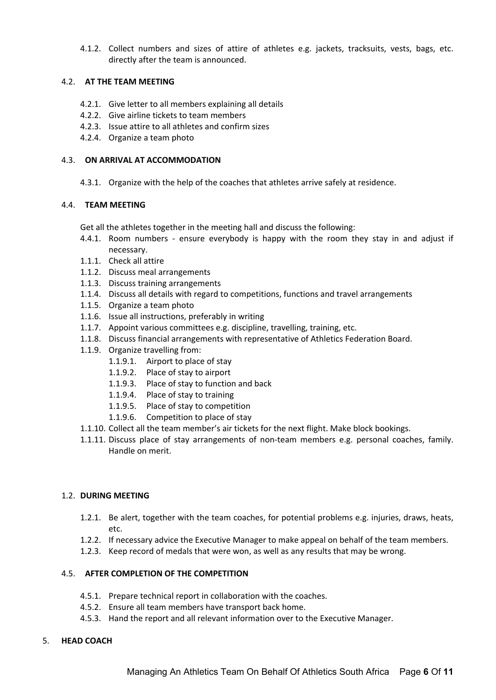4.1.2. Collect numbers and sizes of attire of athletes e.g. jackets, tracksuits, vests, bags, etc. directly after the team is announced.

#### 4.2. **AT THE TEAM MEETING**

- 4.2.1. Give letter to all members explaining all details
- 4.2.2. Give airline tickets to team members
- 4.2.3. Issue attire to all athletes and confirm sizes
- 4.2.4. Organize a team photo

#### 4.3. **ON ARRIVAL AT ACCOMMODATION**

4.3.1. Organize with the help of the coaches that athletes arrive safely at residence.

#### 4.4. **TEAM MEETING**

Get all the athletes together in the meeting hall and discuss the following:

- 4.4.1. Room numbers ensure everybody is happy with the room they stay in and adjust if necessary.
- 1.1.1. Check all attire
- 1.1.2. Discuss meal arrangements
- 1.1.3. Discuss training arrangements
- 1.1.4. Discuss all details with regard to competitions, functions and travel arrangements
- 1.1.5. Organize a team photo
- 1.1.6. Issue all instructions, preferably in writing
- 1.1.7. Appoint various committees e.g. discipline, travelling, training, etc.
- 1.1.8. Discuss financial arrangements with representative of Athletics Federation Board.
- 1.1.9. Organize travelling from:
	- 1.1.9.1. Airport to place of stay
	- 1.1.9.2. Place of stay to airport
	- 1.1.9.3. Place of stay to function and back
	- 1.1.9.4. Place of stay to training
	- 1.1.9.5. Place of stay to competition
	- 1.1.9.6. Competition to place of stay
- 1.1.10. Collect all the team member's air tickets for the next flight. Make block bookings.
- 1.1.11. Discuss place of stay arrangements of non-team members e.g. personal coaches, family. Handle on merit.

#### 1.2. **DURING MEETING**

- 1.2.1. Be alert, together with the team coaches, for potential problems e.g. injuries, draws, heats, etc.
- 1.2.2. If necessary advice the Executive Manager to make appeal on behalf of the team members.
- 1.2.3. Keep record of medals that were won, as well as any results that may be wrong.

#### 4.5. **AFTER COMPLETION OF THE COMPETITION**

- 4.5.1. Prepare technical report in collaboration with the coaches.
- 4.5.2. Ensure all team members have transport back home.
- 4.5.3. Hand the report and all relevant information over to the Executive Manager.

#### 5. **HEAD COACH**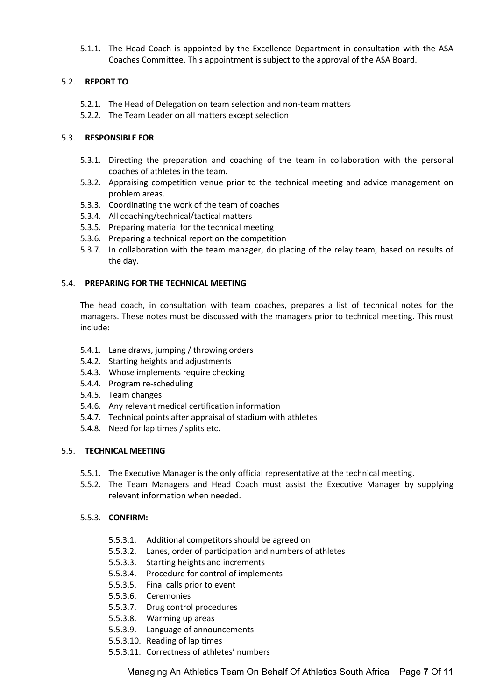5.1.1. The Head Coach is appointed by the Excellence Department in consultation with the ASA Coaches Committee. This appointment is subject to the approval of the ASA Board.

#### 5.2. **REPORT TO**

- 5.2.1. The Head of Delegation on team selection and non-team matters
- 5.2.2. The Team Leader on all matters except selection

#### 5.3. **RESPONSIBLE FOR**

- 5.3.1. Directing the preparation and coaching of the team in collaboration with the personal coaches of athletes in the team.
- 5.3.2. Appraising competition venue prior to the technical meeting and advice management on problem areas.
- 5.3.3. Coordinating the work of the team of coaches
- 5.3.4. All coaching/technical/tactical matters
- 5.3.5. Preparing material for the technical meeting
- 5.3.6. Preparing a technical report on the competition
- 5.3.7. In collaboration with the team manager, do placing of the relay team, based on results of the day.

#### 5.4. **PREPARING FOR THE TECHNICAL MEETING**

The head coach, in consultation with team coaches, prepares a list of technical notes for the managers. These notes must be discussed with the managers prior to technical meeting. This must include:

- 5.4.1. Lane draws, jumping / throwing orders
- 5.4.2. Starting heights and adjustments
- 5.4.3. Whose implements require checking
- 5.4.4. Program re-scheduling
- 5.4.5. Team changes
- 5.4.6. Any relevant medical certification information
- 5.4.7. Technical points after appraisal of stadium with athletes
- 5.4.8. Need for lap times / splits etc.

#### 5.5. **TECHNICAL MEETING**

- 5.5.1. The Executive Manager is the only official representative at the technical meeting.
- 5.5.2. The Team Managers and Head Coach must assist the Executive Manager by supplying relevant information when needed.

#### 5.5.3. **CONFIRM:**

- 5.5.3.1. Additional competitors should be agreed on
- 5.5.3.2. Lanes, order of participation and numbers of athletes
- 5.5.3.3. Starting heights and increments
- 5.5.3.4. Procedure for control of implements
- 5.5.3.5. Final calls prior to event
- 5.5.3.6. Ceremonies
- 5.5.3.7. Drug control procedures
- 5.5.3.8. Warming up areas
- 5.5.3.9. Language of announcements
- 5.5.3.10. Reading of lap times
- 5.5.3.11. Correctness of athletes' numbers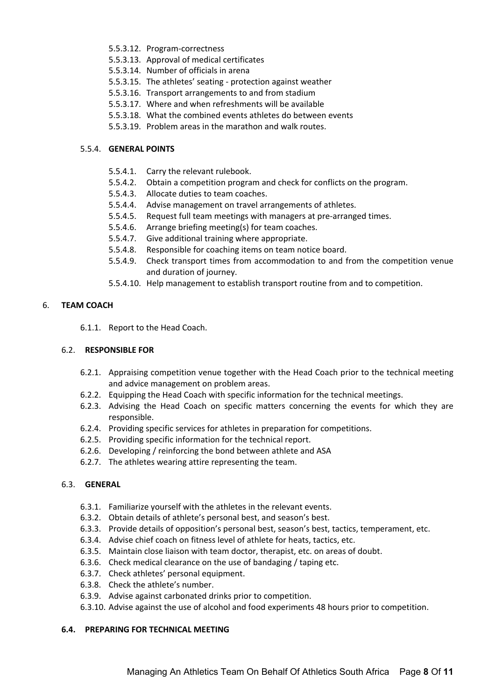- 5.5.3.12. Program-correctness
- 5.5.3.13. Approval of medical certificates
- 5.5.3.14. Number of officials in arena
- 5.5.3.15. The athletes' seating protection against weather
- 5.5.3.16. Transport arrangements to and from stadium
- 5.5.3.17. Where and when refreshments will be available
- 5.5.3.18. What the combined events athletes do between events
- 5.5.3.19. Problem areas in the marathon and walk routes.

#### 5.5.4. **GENERAL POINTS**

- 5.5.4.1. Carry the relevant rulebook.
- 5.5.4.2. Obtain a competition program and check for conflicts on the program.
- 5.5.4.3. Allocate duties to team coaches.
- 5.5.4.4. Advise management on travel arrangements of athletes.
- 5.5.4.5. Request full team meetings with managers at pre-arranged times.
- 5.5.4.6. Arrange briefing meeting(s) for team coaches.
- 5.5.4.7. Give additional training where appropriate.
- 5.5.4.8. Responsible for coaching items on team notice board.
- 5.5.4.9. Check transport times from accommodation to and from the competition venue and duration of journey.
- 5.5.4.10. Help management to establish transport routine from and to competition.

#### 6. **TEAM COACH**

6.1.1. Report to the Head Coach.

#### 6.2. **RESPONSIBLE FOR**

- 6.2.1. Appraising competition venue together with the Head Coach prior to the technical meeting and advice management on problem areas.
- 6.2.2. Equipping the Head Coach with specific information for the technical meetings.
- 6.2.3. Advising the Head Coach on specific matters concerning the events for which they are responsible.
- 6.2.4. Providing specific services for athletes in preparation for competitions.
- 6.2.5. Providing specific information for the technical report.
- 6.2.6. Developing / reinforcing the bond between athlete and ASA
- 6.2.7. The athletes wearing attire representing the team.

#### 6.3. **GENERAL**

- 6.3.1. Familiarize yourself with the athletes in the relevant events.
- 6.3.2. Obtain details of athlete's personal best, and season's best.
- 6.3.3. Provide details of opposition's personal best, season's best, tactics, temperament, etc.
- 6.3.4. Advise chief coach on fitness level of athlete for heats, tactics, etc.
- 6.3.5. Maintain close liaison with team doctor, therapist, etc. on areas of doubt.
- 6.3.6. Check medical clearance on the use of bandaging / taping etc.
- 6.3.7. Check athletes' personal equipment.
- 6.3.8. Check the athlete's number.
- 6.3.9. Advise against carbonated drinks prior to competition.
- 6.3.10. Advise against the use of alcohol and food experiments 48 hours prior to competition.

#### **6.4. PREPARING FOR TECHNICAL MEETING**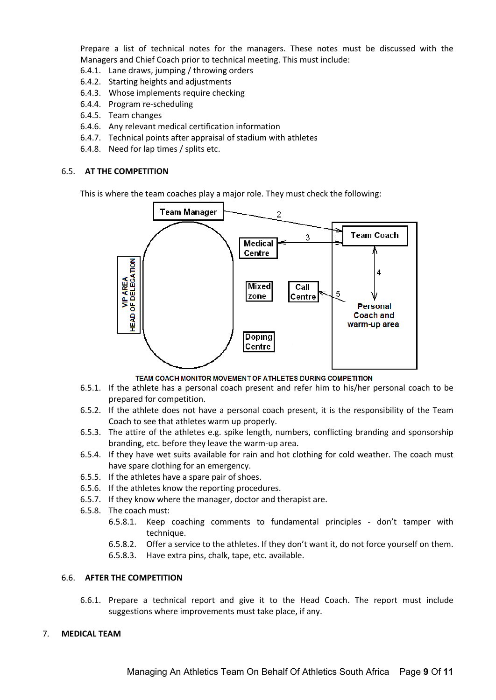Prepare a list of technical notes for the managers. These notes must be discussed with the Managers and Chief Coach prior to technical meeting. This must include:

- 6.4.1. Lane draws, jumping / throwing orders
- 6.4.2. Starting heights and adjustments
- 6.4.3. Whose implements require checking
- 6.4.4. Program re-scheduling
- 6.4.5. Team changes
- 6.4.6. Any relevant medical certification information
- 6.4.7. Technical points after appraisal of stadium with athletes
- 6.4.8. Need for lap times / splits etc.

#### 6.5. **AT THE COMPETITION**

This is where the team coaches play a major role. They must check the following:



TEAM COACH MONITOR MOVEMENT OF ATHLETES DURING COMPETITION

- 6.5.1. If the athlete has a personal coach present and refer him to his/her personal coach to be prepared for competition.
- 6.5.2. If the athlete does not have a personal coach present, it is the responsibility of the Team Coach to see that athletes warm up properly.
- 6.5.3. The attire of the athletes e.g. spike length, numbers, conflicting branding and sponsorship branding, etc. before they leave the warm-up area.
- 6.5.4. If they have wet suits available for rain and hot clothing for cold weather. The coach must have spare clothing for an emergency.
- 6.5.5. If the athletes have a spare pair of shoes.
- 6.5.6. If the athletes know the reporting procedures.
- 6.5.7. If they know where the manager, doctor and therapist are.
- 6.5.8. The coach must:
	- 6.5.8.1. Keep coaching comments to fundamental principles don't tamper with technique.
	- 6.5.8.2. Offer a service to the athletes. If they don't want it, do not force yourself on them.
	- 6.5.8.3. Have extra pins, chalk, tape, etc. available.

#### 6.6. **AFTER THE COMPETITION**

6.6.1. Prepare a technical report and give it to the Head Coach. The report must include suggestions where improvements must take place, if any.

#### 7. **MEDICAL TEAM**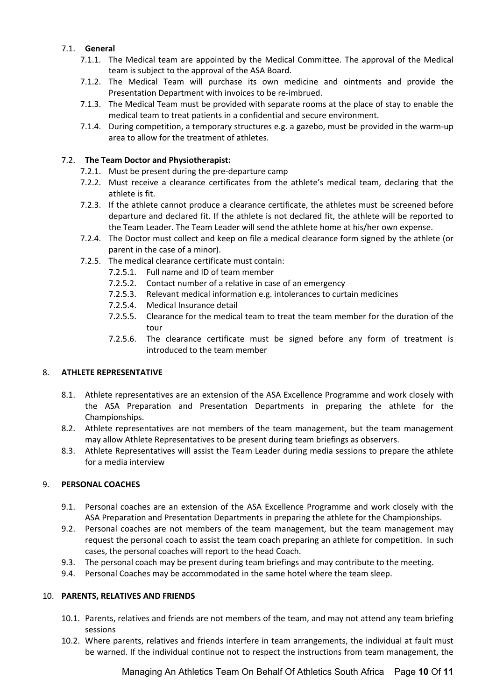#### 7.1. **General**

- 7.1.1. The Medical team are appointed by the Medical Committee. The approval of the Medical team is subject to the approval of the ASA Board.
- 7.1.2. The Medical Team will purchase its own medicine and ointments and provide the Presentation Department with invoices to be re-imbrued.
- 7.1.3. The Medical Team must be provided with separate rooms at the place of stay to enable the medical team to treat patients in a confidential and secure environment.
- 7.1.4. During competition, a temporary structures e.g. a gazebo, must be provided in the warm-up area to allow for the treatment of athletes.

#### 7.2. **The Team Doctor and Physiotherapist:**

- 7.2.1. Must be present during the pre-departure camp
- 7.2.2. Must receive a clearance certificates from the athlete's medical team, declaring that the athlete is fit.
- 7.2.3. If the athlete cannot produce a clearance certificate, the athletes must be screened before departure and declared fit. If the athlete is not declared fit, the athlete will be reported to the Team Leader. The Team Leader will send the athlete home at his/her own expense.
- 7.2.4. The Doctor must collect and keep on file a medical clearance form signed by the athlete (or parent in the case of a minor).
- 7.2.5. The medical clearance certificate must contain:
	- 7.2.5.1. Full name and ID of team member
	- 7.2.5.2. Contact number of a relative in case of an emergency
	- 7.2.5.3. Relevant medical information e.g. intolerances to curtain medicines
	- 7.2.5.4. Medical Insurance detail
	- 7.2.5.5. Clearance for the medical team to treat the team member for the duration of the tour
	- 7.2.5.6. The clearance certificate must be signed before any form of treatment is introduced to the team member

### 8. **ATHLETE REPRESENTATIVE**

- 8.1. Athlete representatives are an extension of the ASA Excellence Programme and work closely with the ASA Preparation and Presentation Departments in preparing the athlete for the Championships.
- 8.2. Athlete representatives are not members of the team management, but the team management may allow Athlete Representatives to be present during team briefings as observers.
- 8.3. Athlete Representatives will assist the Team Leader during media sessions to prepare the athlete for a media interview

#### 9. **PERSONAL COACHES**

- 9.1. Personal coaches are an extension of the ASA Excellence Programme and work closely with the ASA Preparation and Presentation Departments in preparing the athlete for the Championships.
- 9.2. Personal coaches are not members of the team management, but the team management may request the personal coach to assist the team coach preparing an athlete for competition. In such cases, the personal coaches will report to the head Coach.
- 9.3. The personal coach may be present during team briefings and may contribute to the meeting.
- 9.4. Personal Coaches may be accommodated in the same hotel where the team sleep.

#### 10. **PARENTS, RELATIVES AND FRIENDS**

- 10.1. Parents, relatives and friends are not members of the team, and may not attend any team briefing sessions
- 10.2. Where parents, relatives and friends interfere in team arrangements, the individual at fault must be warned. If the individual continue not to respect the instructions from team management, the